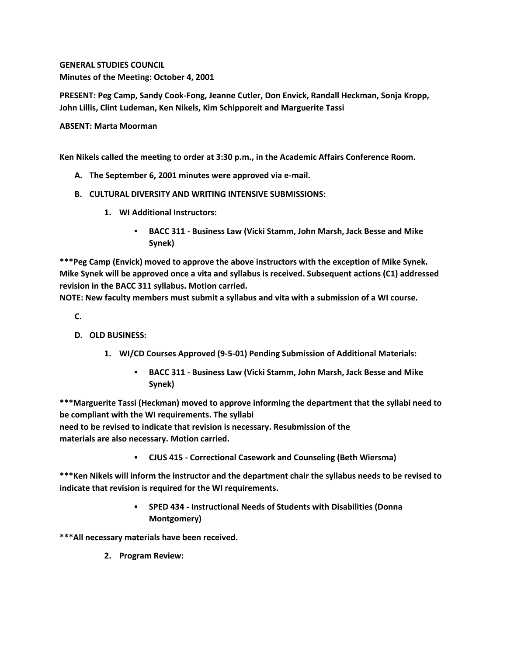**GENERAL STUDIES COUNCIL Minutes of the Meeting: October 4, 2001**

**PRESENT: Peg Camp, Sandy Cook-Fong, Jeanne Cutler, Don Envick, Randall Heckman, Sonja Kropp, John Lillis, Clint Ludeman, Ken Nikels, Kim Schipporeit and Marguerite Tassi**

**ABSENT: Marta Moorman**

**Ken Nikels called the meeting to order at 3:30 p.m., in the Academic Affairs Conference Room.**

- **A. The September 6, 2001 minutes were approved via e-mail.**
- **B. CULTURAL DIVERSITY AND WRITING INTENSIVE SUBMISSIONS:**
	- **1. WI Additional Instructors:** 
		- **BACC 311 - Business Law (Vicki Stamm, John Marsh, Jack Besse and Mike Synek)**

**\*\*\*Peg Camp (Envick) moved to approve the above instructors with the exception of Mike Synek. Mike Synek will be approved once a vita and syllabus is received. Subsequent actions (C1) addressed revision in the BACC 311 syllabus. Motion carried.**

**NOTE: New faculty members must submit a syllabus and vita with a submission of a WI course.**

**C.**

- **D. OLD BUSINESS:**
	- **1. WI/CD Courses Approved (9-5-01) Pending Submission of Additional Materials:** 
		- **BACC 311 - Business Law (Vicki Stamm, John Marsh, Jack Besse and Mike Synek)**

**\*\*\*Marguerite Tassi (Heckman) moved to approve informing the department that the syllabi need to be compliant with the WI requirements. The syllabi**

**need to be revised to indicate that revision is necessary. Resubmission of the materials are also necessary. Motion carried.**

**CJUS 415 - Correctional Casework and Counseling (Beth Wiersma)**

**\*\*\*Ken Nikels will inform the instructor and the department chair the syllabus needs to be revised to indicate that revision is required for the WI requirements.** 

> **SPED 434 - Instructional Needs of Students with Disabilities (Donna Montgomery)**

**\*\*\*All necessary materials have been received.**

**2. Program Review:**